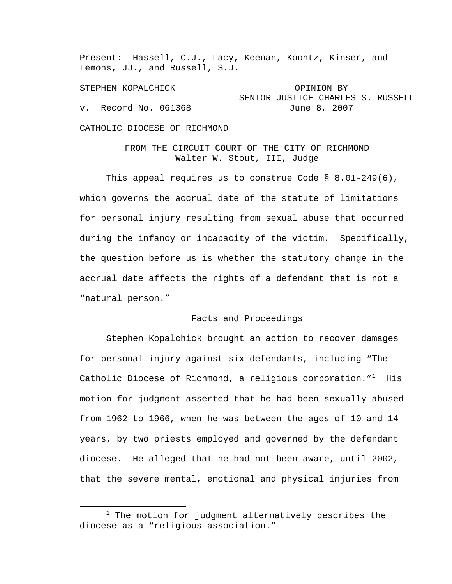Present: Hassell, C.J., Lacy, Keenan, Koontz, Kinser, and Lemons, JJ., and Russell, S.J.

STEPHEN KOPALCHICK OPINION BY SENIOR JUSTICE CHARLES S. RUSSELL v. Record No. 061368 June 8, 2007

CATHOLIC DIOCESE OF RICHMOND

FROM THE CIRCUIT COURT OF THE CITY OF RICHMOND Walter W. Stout, III, Judge

This appeal requires us to construe Code  $\S$  8.01-249(6), which governs the accrual date of the statute of limitations for personal injury resulting from sexual abuse that occurred during the infancy or incapacity of the victim. Specifically, the question before us is whether the statutory change in the accrual date affects the rights of a defendant that is not a "natural person."

#### Facts and Proceedings

 Stephen Kopalchick brought an action to recover damages for personal injury against six defendants, including "The Catholic Diocese of Richmond, a religious corporation." $^1$  His motion for judgment asserted that he had been sexually abused from 1962 to 1966, when he was between the ages of 10 and 14 years, by two priests employed and governed by the defendant diocese. He alleged that he had not been aware, until 2002, that the severe mental, emotional and physical injuries from

 $\begin{array}{c|c}\n\hline\n\text{1}\n\end{array}$  $1$  The motion for judgment alternatively describes the diocese as a "religious association."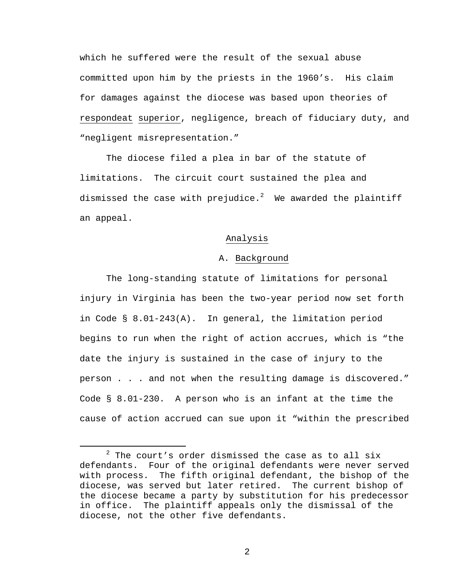which he suffered were the result of the sexual abuse committed upon him by the priests in the 1960's. His claim for damages against the diocese was based upon theories of respondeat superior, negligence, breach of fiduciary duty, and "negligent misrepresentation."

 The diocese filed a plea in bar of the statute of limitations. The circuit court sustained the plea and dismissed the case with prejudice. $^2$  We awarded the plaintiff an appeal.

### Analysis

### A. Background

 The long-standing statute of limitations for personal injury in Virginia has been the two-year period now set forth in Code § 8.01-243(A). In general, the limitation period begins to run when the right of action accrues, which is "the date the injury is sustained in the case of injury to the person . . . and not when the resulting damage is discovered." Code § 8.01-230. A person who is an infant at the time the cause of action accrued can sue upon it "within the prescribed

 <sup>2</sup>  $2$  The court's order dismissed the case as to all six defendants. Four of the original defendants were never served with process. The fifth original defendant, the bishop of the diocese, was served but later retired. The current bishop of the diocese became a party by substitution for his predecessor in office. The plaintiff appeals only the dismissal of the diocese, not the other five defendants.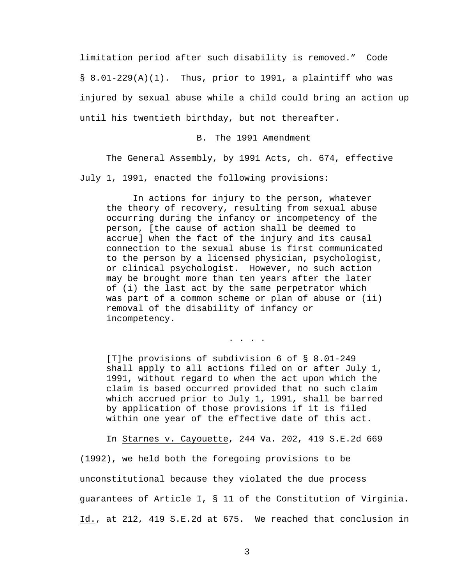limitation period after such disability is removed." Code  $\S$  8.01-229(A)(1). Thus, prior to 1991, a plaintiff who was injured by sexual abuse while a child could bring an action up until his twentieth birthday, but not thereafter.

## B. The 1991 Amendment

 The General Assembly, by 1991 Acts, ch. 674, effective July 1, 1991, enacted the following provisions:

 In actions for injury to the person, whatever the theory of recovery, resulting from sexual abuse occurring during the infancy or incompetency of the person, [the cause of action shall be deemed to accrue] when the fact of the injury and its causal connection to the sexual abuse is first communicated to the person by a licensed physician, psychologist, or clinical psychologist. However, no such action may be brought more than ten years after the later of (i) the last act by the same perpetrator which was part of a common scheme or plan of abuse or (ii) removal of the disability of infancy or incompetency.

. . . .

[T]he provisions of subdivision 6 of § 8.01-249 shall apply to all actions filed on or after July 1, 1991, without regard to when the act upon which the claim is based occurred provided that no such claim which accrued prior to July 1, 1991, shall be barred by application of those provisions if it is filed within one year of the effective date of this act.

In Starnes v. Cayouette, 244 Va. 202, 419 S.E.2d 669

(1992), we held both the foregoing provisions to be unconstitutional because they violated the due process guarantees of Article I, § 11 of the Constitution of Virginia. Id., at 212, 419 S.E.2d at 675. We reached that conclusion in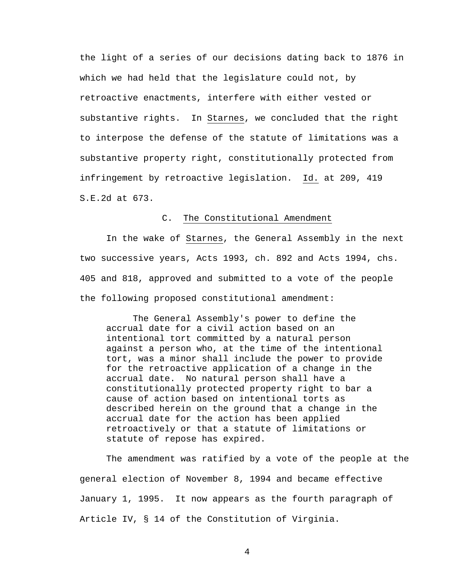the light of a series of our decisions dating back to 1876 in which we had held that the legislature could not, by retroactive enactments, interfere with either vested or substantive rights. In Starnes, we concluded that the right to interpose the defense of the statute of limitations was a substantive property right, constitutionally protected from infringement by retroactive legislation. Id. at 209, 419 S.E.2d at 673.

# C. The Constitutional Amendment

 In the wake of Starnes, the General Assembly in the next two successive years, Acts 1993, ch. 892 and Acts 1994, chs. 405 and 818, approved and submitted to a vote of the people the following proposed constitutional amendment:

 The General Assembly's power to define the accrual date for a civil action based on an intentional tort committed by a natural person against a person who, at the time of the intentional tort, was a minor shall include the power to provide for the retroactive application of a change in the accrual date. No natural person shall have a constitutionally protected property right to bar a cause of action based on intentional torts as described herein on the ground that a change in the accrual date for the action has been applied retroactively or that a statute of limitations or statute of repose has expired.

 The amendment was ratified by a vote of the people at the general election of November 8, 1994 and became effective January 1, 1995. It now appears as the fourth paragraph of Article IV, § 14 of the Constitution of Virginia.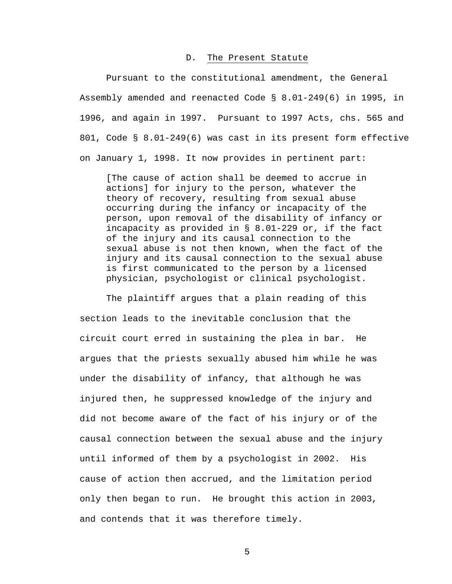#### D. The Present Statute

 Pursuant to the constitutional amendment, the General Assembly amended and reenacted Code § 8.01-249(6) in 1995, in 1996, and again in 1997. Pursuant to 1997 Acts, chs. 565 and 801, Code § 8.01-249(6) was cast in its present form effective on January 1, 1998. It now provides in pertinent part:

[The cause of action shall be deemed to accrue in actions] for injury to the person, whatever the theory of recovery, resulting from sexual abuse occurring during the infancy or incapacity of the person, upon removal of the disability of infancy or incapacity as provided in § 8.01-229 or, if the fact of the injury and its causal connection to the sexual abuse is not then known, when the fact of the injury and its causal connection to the sexual abuse is first communicated to the person by a licensed physician, psychologist or clinical psychologist.

 The plaintiff argues that a plain reading of this section leads to the inevitable conclusion that the circuit court erred in sustaining the plea in bar. He argues that the priests sexually abused him while he was under the disability of infancy, that although he was injured then, he suppressed knowledge of the injury and did not become aware of the fact of his injury or of the causal connection between the sexual abuse and the injury until informed of them by a psychologist in 2002. His cause of action then accrued, and the limitation period only then began to run. He brought this action in 2003, and contends that it was therefore timely.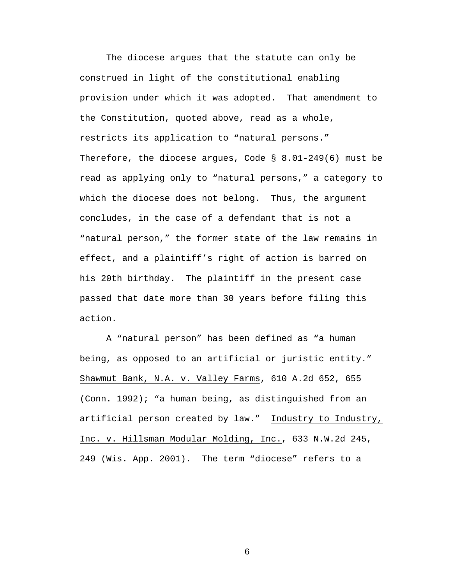The diocese argues that the statute can only be construed in light of the constitutional enabling provision under which it was adopted. That amendment to the Constitution, quoted above, read as a whole, restricts its application to "natural persons." Therefore, the diocese argues, Code § 8.01-249(6) must be read as applying only to "natural persons," a category to which the diocese does not belong. Thus, the argument concludes, in the case of a defendant that is not a "natural person," the former state of the law remains in effect, and a plaintiff's right of action is barred on his 20th birthday. The plaintiff in the present case passed that date more than 30 years before filing this action.

 A "natural person" has been defined as "a human being, as opposed to an artificial or juristic entity." Shawmut Bank, N.A. v. Valley Farms, 610 A.2d 652, 655 (Conn. 1992); "a human being, as distinguished from an artificial person created by law." Industry to Industry, Inc. v. Hillsman Modular Molding, Inc., 633 N.W.2d 245, 249 (Wis. App. 2001). The term "diocese" refers to a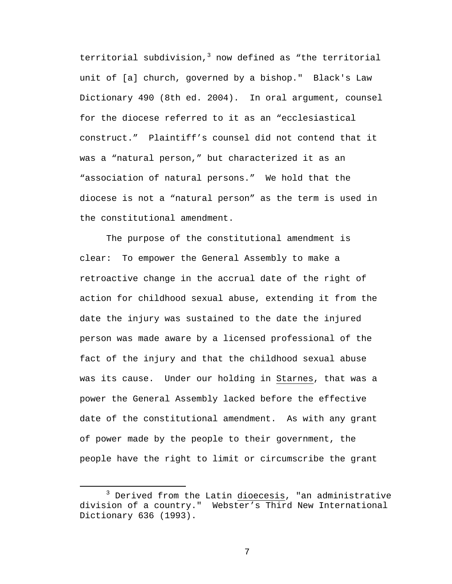territorial subdivision,<sup>3</sup> now defined as "the territorial unit of [a] church, governed by a bishop." Black's Law Dictionary 490 (8th ed. 2004). In oral argument, counsel for the diocese referred to it as an "ecclesiastical construct." Plaintiff's counsel did not contend that it was a "natural person," but characterized it as an "association of natural persons." We hold that the diocese is not a "natural person" as the term is used in the constitutional amendment.

 The purpose of the constitutional amendment is clear: To empower the General Assembly to make a retroactive change in the accrual date of the right of action for childhood sexual abuse, extending it from the date the injury was sustained to the date the injured person was made aware by a licensed professional of the fact of the injury and that the childhood sexual abuse was its cause. Under our holding in Starnes, that was a power the General Assembly lacked before the effective date of the constitutional amendment. As with any grant of power made by the people to their government, the people have the right to limit or circumscribe the grant

 $\overline{\phantom{a}}$  3  $3$  Derived from the Latin dioecesis, "an administrative division of a country." Webster's Third New International Dictionary 636 (1993).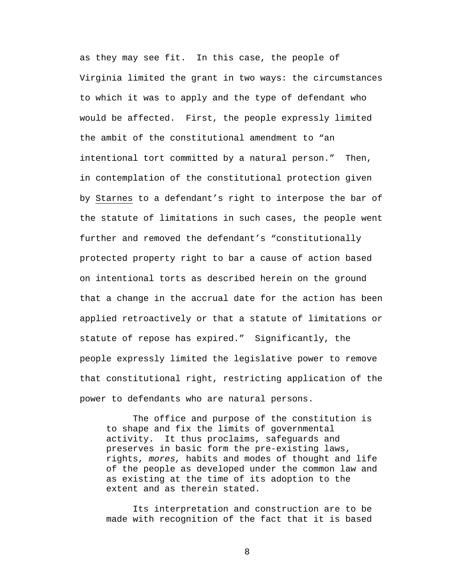as they may see fit. In this case, the people of Virginia limited the grant in two ways: the circumstances to which it was to apply and the type of defendant who would be affected. First, the people expressly limited the ambit of the constitutional amendment to "an intentional tort committed by a natural person." Then, in contemplation of the constitutional protection given by Starnes to a defendant's right to interpose the bar of the statute of limitations in such cases, the people went further and removed the defendant's "constitutionally protected property right to bar a cause of action based on intentional torts as described herein on the ground that a change in the accrual date for the action has been applied retroactively or that a statute of limitations or statute of repose has expired." Significantly, the people expressly limited the legislative power to remove that constitutional right, restricting application of the power to defendants who are natural persons.

The office and purpose of the constitution is to shape and fix the limits of governmental activity. It thus proclaims, safeguards and preserves in basic form the pre-existing laws, rights, *mores,* habits and modes of thought and life of the people as developed under the common law and as existing at the time of its adoption to the extent and as therein stated.

Its interpretation and construction are to be made with recognition of the fact that it is based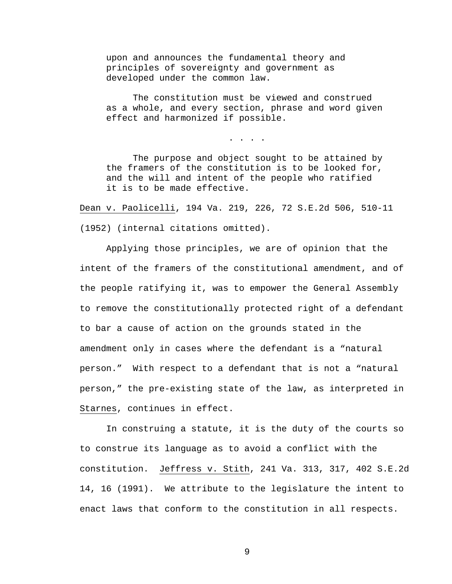upon and announces the fundamental theory and principles of sovereignty and government as developed under the common law.

The constitution must be viewed and construed as a whole, and every section, phrase and word given effect and harmonized if possible.

. . . .

The purpose and object sought to be attained by the framers of the constitution is to be looked for, and the will and intent of the people who ratified it is to be made effective.

Dean v. Paolicelli, 194 Va. 219, 226, 72 S.E.2d 506, 510-11 (1952) (internal citations omitted).

 Applying those principles, we are of opinion that the intent of the framers of the constitutional amendment, and of the people ratifying it, was to empower the General Assembly to remove the constitutionally protected right of a defendant to bar a cause of action on the grounds stated in the amendment only in cases where the defendant is a "natural person." With respect to a defendant that is not a "natural person," the pre-existing state of the law, as interpreted in Starnes, continues in effect.

 In construing a statute, it is the duty of the courts so to construe its language as to avoid a conflict with the constitution. Jeffress v. Stith, 241 Va. 313, 317, 402 S.E.2d 14, 16 (1991). We attribute to the legislature the intent to enact laws that conform to the constitution in all respects.